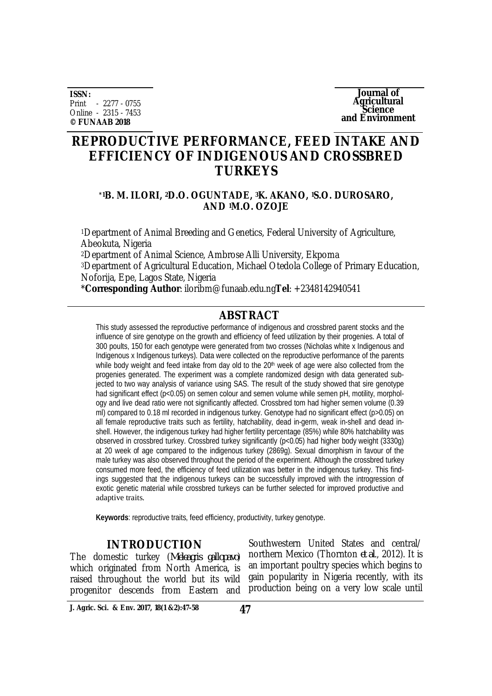**ISSN:** Print - 2277 - 0755 Online - 2315 - 7453 **© FUNAAB 2018**

**Journal of Agricultural Science and Environment**

# **REPRODUCTIVE PERFORMANCE, FEED INTAKE AND EFFICIENCY OF INDIGENOUS AND CROSSBRED TURKEYS**

### **\*1B. M. ILORI, 2D.O. OGUNTADE, 3K. AKANO, 1S.O. DUROSARO, AND 1M.O. OZOJE**

<sup>1</sup>Department of Animal Breeding and Genetics, Federal University of Agriculture, Abeokuta, Nigeria <sup>2</sup>Department of Animal Science, Ambrose Alli University, Ekpoma <sup>3</sup>Department of Agricultural Education, Michael Otedola College of Primary Education, Noforija, Epe, Lagos State, Nigeria

\***Corresponding Author**: [iloribm@funaab.edu.ng](mailto:iloribm@funaab.edu.ng)**Tel**: +2348142940541

# **ABSTRACT**

This study assessed the reproductive performance of indigenous and crossbred parent stocks and the influence of sire genotype on the growth and efficiency of feed utilization by their progenies. A total of 300 poults, 150 for each genotype were generated from two crosses (Nicholas white x Indigenous and Indigenous x Indigenous turkeys). Data were collected on the reproductive performance of the parents while body weight and feed intake from day old to the 20<sup>th</sup> week of age were also collected from the progenies generated. The experiment was a complete randomized design with data generated subjected to two way analysis of variance using SAS. The result of the study showed that sire genotype had significant effect (p<0.05) on semen colour and semen volume while semen pH, motility, morphology and live dead ratio were not significantly affected. Crossbred tom had higher semen volume (0.39 ml) compared to 0.18 ml recorded in indigenous turkey. Genotype had no significant effect (p>0.05) on all female reproductive traits such as fertility, hatchability, dead in-germ, weak in-shell and dead inshell. However, the indigenous turkey had higher fertility percentage (85%) while 80% hatchability was observed in crossbred turkey. Crossbred turkey significantly (p<0.05) had higher body weight (3330g) at 20 week of age compared to the indigenous turkey (2869g). Sexual dimorphism in favour of the male turkey was also observed throughout the period of the experiment. Although the crossbred turkey consumed more feed, the efficiency of feed utilization was better in the indigenous turkey. This findings suggested that the indigenous turkeys can be successfully improved with the introgression of exotic genetic material while crossbred turkeys can be further selected for improved productive and adaptive traits.

**Keywords**: reproductive traits, feed efficiency, productivity, turkey genotype.

# **INTRODUCTION**

The domestic turkey (*Meleagris gallopavo*) which originated from North America, is raised throughout the world but its wild progenitor descends from Eastern and

Southwestern United States and central/ northern Mexico (Thornton *et al*., 2012). It is an important poultry species which begins to gain popularity in Nigeria recently, with its production being on a very low scale until

**J. Agric. Sci. & Env. 2017, 18(1 &2):47-58 47**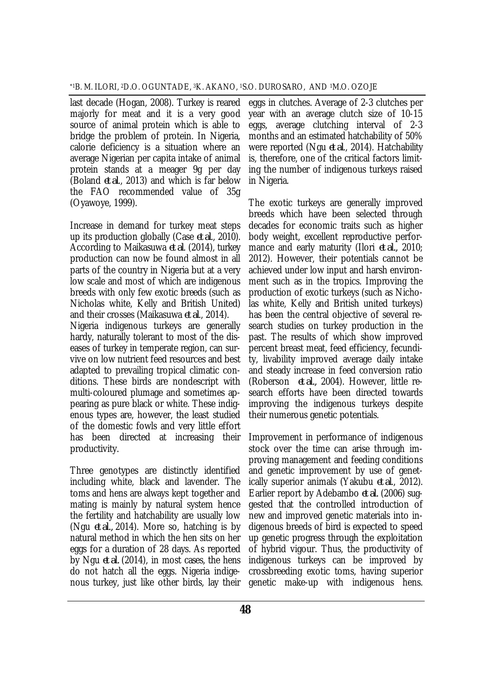last decade (Hogan, 2008). Turkey is reared majorly for meat and it is a very good source of animal protein which is able to bridge the problem of protein. In Nigeria, calorie deficiency is a situation where an average Nigerian per capita intake of animal protein stands at a meager 9g per day (Boland *et al*., 2013) and which is far below the FAO recommended value of 35g (Oyawoye, 1999).

Increase in demand for turkey meat steps up its production globally (Case *et al*., 2010). According to Maikasuwa *et al*. (2014), turkey production can now be found almost in all parts of the country in Nigeria but at a very low scale and most of which are indigenous breeds with only few exotic breeds (such as Nicholas white, Kelly and British United) and their crosses (Maikasuwa *et al*., 2014). Nigeria indigenous turkeys are generally hardy, naturally tolerant to most of the diseases of turkey in temperate region, can survive on low nutrient feed resources and best adapted to prevailing tropical climatic conditions. These birds are nondescript with multi-coloured plumage and sometimes appearing as pure black or white. These indigenous types are, however, the least studied of the domestic fowls and very little effort has been directed at increasing their productivity.

Three genotypes are distinctly identified including white, black and lavender. The toms and hens are always kept together and mating is mainly by natural system hence the fertility and hatchability are usually low (Ngu *et al.,* 2014). More so, hatching is by natural method in which the hen sits on her eggs for a duration of 28 days. As reported by Ngu *et al.* (2014), in most cases, the hens do not hatch all the eggs. Nigeria indigenous turkey, just like other birds, lay their

eggs in clutches. Average of 2-3 clutches per year with an average clutch size of 10-15 eggs, average clutching interval of 2-3 months and an estimated hatchability of 50% were reported (Ngu *et al*., 2014). Hatchability is, therefore, one of the critical factors limiting the number of indigenous turkeys raised in Nigeria.

The exotic turkeys are generally improved breeds which have been selected through decades for economic traits such as higher body weight, excellent reproductive performance and early maturity (Ilori *et al.,* 2010; 2012). However, their potentials cannot be achieved under low input and harsh environment such as in the tropics. Improving the production of exotic turkeys (such as Nicholas white, Kelly and British united turkeys) has been the central objective of several research studies on turkey production in the past. The results of which show improved percent breast meat, feed efficiency, fecundity, livability improved average daily intake and steady increase in feed conversion ratio (Roberson *et al.,* 2004). However, little research efforts have been directed towards improving the indigenous turkeys despite their numerous genetic potentials.

Improvement in performance of indigenous stock over the time can arise through improving management and feeding conditions and genetic improvement by use of genetically superior animals (Yakubu *et al*., 2012). Earlier report by Adebambo *et al.* (2006) suggested that the controlled introduction of new and improved genetic materials into indigenous breeds of bird is expected to speed up genetic progress through the exploitation of hybrid vigour. Thus, the productivity of indigenous turkeys can be improved by crossbreeding exotic toms, having superior genetic make-up with indigenous hens.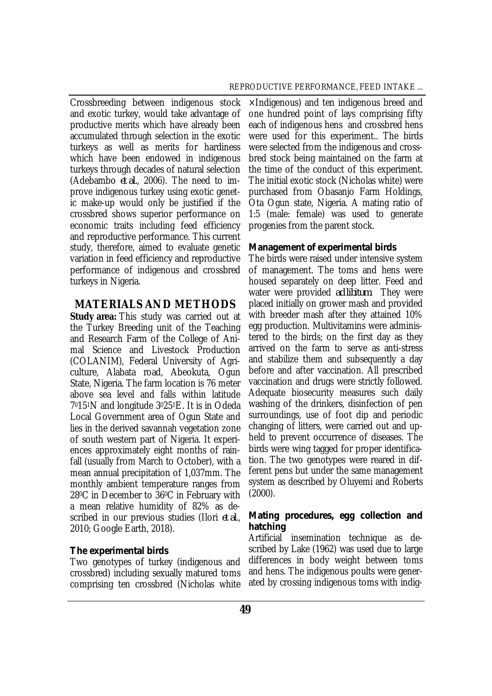Crossbreeding between indigenous stock and exotic turkey, would take advantage of productive merits which have already been accumulated through selection in the exotic turkeys as well as merits for hardiness which have been endowed in indigenous turkeys through decades of natural selection (Adebambo *et al.*, 2006). The need to improve indigenous turkey using exotic genetic make-up would only be justified if the crossbred shows superior performance on economic traits including feed efficiency and reproductive performance. This current study, therefore, aimed to evaluate genetic variation in feed efficiency and reproductive performance of indigenous and crossbred turkeys in Nigeria.

# **MATERIALS AND METHODS**

**Study area:** This study was carried out at the Turkey Breeding unit of the Teaching and Research Farm of the College of Animal Science and Livestock Production (COLANIM), Federal University of Agriculture, Alabata road, Abeokuta, Ogun State, Nigeria. The farm location is 76 meter above sea level and falls within latitude 70151N and longitude 30251E. It is in Odeda Local Government area of Ogun State and lies in the derived savannah vegetation zone of south western part of Nigeria. It experiences approximately eight months of rainfall (usually from March to October), with a mean annual precipitation of 1,037mm. The monthly ambient temperature ranges from 280C in December to 360C in February with a mean relative humidity of 82% as described in our previous studies (Ilori *et al*., 2010; Google Earth, 2018).

#### *The experimental birds*

Two genotypes of turkey (indigenous and crossbred) including sexually matured toms comprising ten crossbred (Nicholas white

×Indigenous) and ten indigenous breed and one hundred point of lays comprising fifty each of indigenous hens and crossbred hens were used for this experiment.. The birds were selected from the indigenous and crossbred stock being maintained on the farm at the time of the conduct of this experiment. The initial exotic stock (Nicholas white) were purchased from Obasanjo Farm Holdings, Ota Ogun state, Nigeria. A mating ratio of 1:5 (male: female) was used to generate progenies from the parent stock.

#### *Management of experimental birds*

The birds were raised under intensive system of management. The toms and hens were housed separately on deep litter. Feed and water were provided *ad libitum*. They were placed initially on grower mash and provided with breeder mash after they attained 10% egg production. Multivitamins were administered to the birds; on the first day as they arrived on the farm to serve as anti-stress and stabilize them and subsequently a day before and after vaccination. All prescribed vaccination and drugs were strictly followed. Adequate biosecurity measures such daily washing of the drinkers, disinfection of pen surroundings, use of foot dip and periodic changing of litters, were carried out and upheld to prevent occurrence of diseases. The birds were wing tagged for proper identification. The two genotypes were reared in different pens but under the same management system as described by Oluyemi and Roberts (2000).

# *Mating procedures, egg collection and hatching*

Artificial insemination technique as described by Lake (1962) was used due to large differences in body weight between toms and hens. The indigenous poults were generated by crossing indigenous toms with indig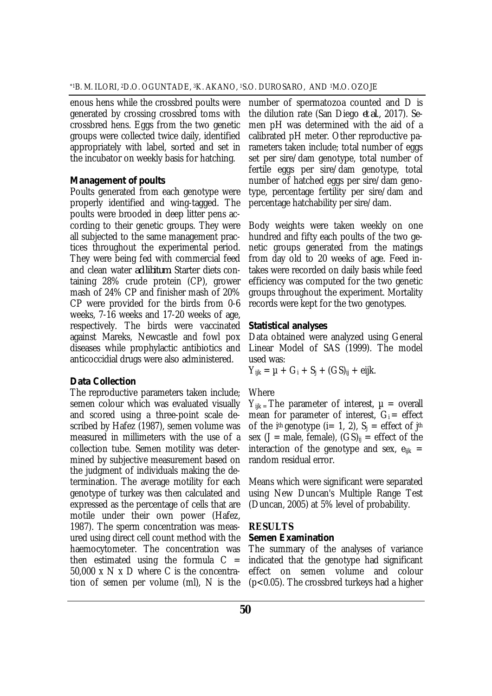enous hens while the crossbred poults were generated by crossing crossbred toms with crossbred hens. Eggs from the two genetic groups were collected twice daily, identified appropriately with label, sorted and set in the incubator on weekly basis for hatching.

#### *Management of poults*

Poults generated from each genotype were properly identified and wing-tagged. The poults were brooded in deep litter pens according to their genetic groups. They were all subjected to the same management practices throughout the experimental period. They were being fed with commercial feed and clean water *ad libitum*. Starter diets containing 28% crude protein (CP), grower mash of 24% CP and finisher mash of 20% CP were provided for the birds from 0-6 weeks, 7-16 weeks and 17-20 weeks of age, respectively. The birds were vaccinated against Mareks, Newcastle and fowl pox diseases while prophylactic antibiotics and anticoccidial drugs were also administered.

#### *Data Collection*

The reproductive parameters taken include; semen colour which was evaluated visually and scored using a three-point scale described by Hafez (1987), semen volume was measured in millimeters with the use of a collection tube. Semen motility was determined by subjective measurement based on the judgment of individuals making the determination. The average motility for each genotype of turkey was then calculated and expressed as the percentage of cells that are motile under their own power (Hafez, 1987). The sperm concentration was measured using direct cell count method with the haemocytometer. The concentration was then estimated using the formula  $C =$ 50,000 x N x D where C is the concentration of semen per volume (ml), N is the

number of spermatozoa counted and D is the dilution rate (San Diego *et al*., 2017). Semen pH was determined with the aid of a calibrated pH meter. Other reproductive parameters taken include; total number of eggs set per sire/dam genotype, total number of fertile eggs per sire/dam genotype, total number of hatched eggs per sire/dam genotype, percentage fertility per sire/dam and percentage hatchability per sire/dam.

Body weights were taken weekly on one hundred and fifty each poults of the two genetic groups generated from the matings from day old to 20 weeks of age. Feed intakes were recorded on daily basis while feed efficiency was computed for the two genetic groups throughout the experiment. Mortality records were kept for the two genotypes.

#### *Statistical analyses*

Data obtained were analyzed using General Linear Model of SAS (1999). The model used was:

 $Y_{ijk} = \mu + G_i + S_j + (GS)_{ij} + \text{e}ijk.$ 

#### **Where**

 $Y_{iik}$  = The parameter of interest,  $\mu$  = overall mean for parameter of interest,  $G_i =$  effect of the i<sup>th</sup> genotype (i= 1, 2),  $S_i$  = effect of j<sup>th</sup> sex (J = male, female),  $(GS)_{ii}$  = effect of the interaction of the genotype and sex,  $e_{ijk}$  = random residual error.

Means which were significant were separated using New Duncan's Multiple Range Test (Duncan, 2005) at 5% level of probability.

# **RESULTS**

#### *Semen Examination*

The summary of the analyses of variance indicated that the genotype had significant effect on semen volume and colour (p<0.05). The crossbred turkeys had a higher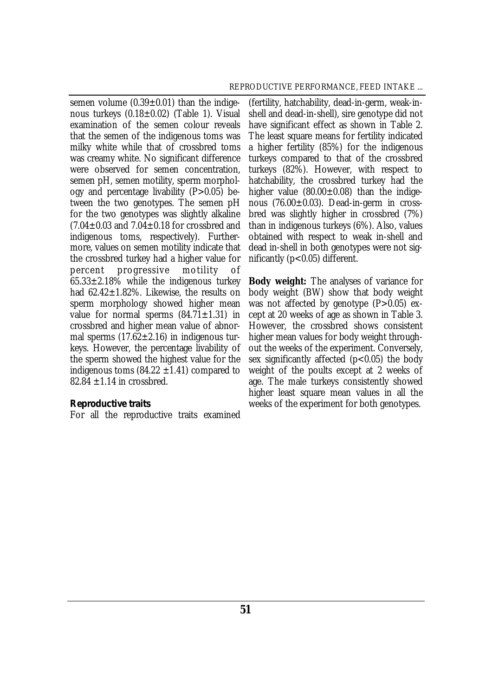semen volume  $(0.39 \pm 0.01)$  than the indigenous turkeys (0.18±0.02) (Table 1). Visual examination of the semen colour reveals that the semen of the indigenous toms was milky white while that of crossbred toms was creamy white. No significant difference were observed for semen concentration, semen pH, semen motility, sperm morphology and percentage livability (P>0.05) between the two genotypes. The semen pH for the two genotypes was slightly alkaline  $(7.04\pm0.03$  and  $7.04\pm0.18$  for crossbred and indigenous toms, respectively). Furthermore, values on semen motility indicate that the crossbred turkey had a higher value for percent progressive motility of  $65.33 \pm 2.18\%$  while the indigenous turkey had  $62.42 \pm 1.82\%$ . Likewise, the results on sperm morphology showed higher mean value for normal sperms  $(84.71 \pm 1.31)$  in crossbred and higher mean value of abnormal sperms  $(17.62 \pm 2.16)$  in indigenous turkeys. However, the percentage livability of the sperm showed the highest value for the indigenous toms  $(84.22 \pm 1.41)$  compared to 82.84  $\pm$ 1.14 in crossbred.

#### *Reproductive traits*

For all the reproductive traits examined

(fertility, hatchability, dead-in-germ, weak-inshell and dead-in-shell), sire genotype did not have significant effect as shown in Table 2. The least square means for fertility indicated a higher fertility (85%) for the indigenous turkeys compared to that of the crossbred turkeys (82%). However, with respect to hatchability, the crossbred turkey had the higher value  $(80.00\pm0.08)$  than the indigenous (76.00±0.03). Dead-in-germ in crossbred was slightly higher in crossbred (7%) than in indigenous turkeys (6%). Also, values obtained with respect to weak in-shell and dead in-shell in both genotypes were not significantly (p<0.05) different.

**Body weight:** The analyses of variance for body weight (BW) show that body weight was not affected by genotype (P>0.05) except at 20 weeks of age as shown in Table 3. However, the crossbred shows consistent higher mean values for body weight throughout the weeks of the experiment. Conversely, sex significantly affected  $(p<0.05)$  the body weight of the poults except at 2 weeks of age. The male turkeys consistently showed higher least square mean values in all the weeks of the experiment for both genotypes.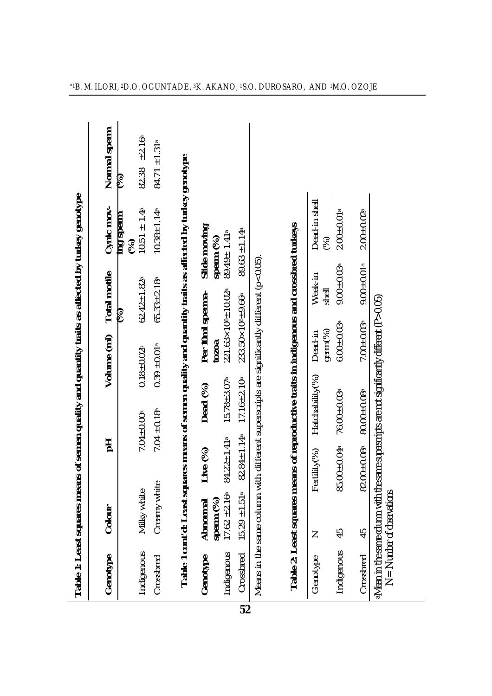|                                                                                                  | Normal sperm<br>Cynic mov- | 82.38 $\pm 2.16^{\circ}$<br>E<br>$10.51 \pm 1.4$ <sup>a</sup><br>mg sperm | $84.71 \pm 1.31^a$<br>$10.38 \pm 1.14a$ | squares means of semen quality and quantity traits as affected by turkey genotype |                  |                                              |                                     |                                                                                            |                                                                  | Dead-in shell      | $2.00 \pm 0.01$ <sup>a</sup>  | $2.00 \pm 0.02$ <sup>a</sup> |                                                                                                |
|--------------------------------------------------------------------------------------------------|----------------------------|---------------------------------------------------------------------------|-----------------------------------------|-----------------------------------------------------------------------------------|------------------|----------------------------------------------|-------------------------------------|--------------------------------------------------------------------------------------------|------------------------------------------------------------------|--------------------|-------------------------------|------------------------------|------------------------------------------------------------------------------------------------|
|                                                                                                  |                            | (%)                                                                       |                                         |                                                                                   | Slide moving     | sperm $(%)$<br>$89.49 \pm 1.41$ <sup>a</sup> | $89.63 \pm 1.14$ <sup>a</sup>       |                                                                                            |                                                                  | (%)                | $9.00 \pm 0.03$ <sup>a</sup>  | $9.00 \pm 0.01$ <sup>a</sup> |                                                                                                |
|                                                                                                  |                            | $62.42 \pm 1.82$ <sup>a</sup><br>E                                        | $65.33 \pm 2.18$ <sup>a</sup>           |                                                                                   | Per 10ml sperma- | $221.63 \times 10^{8} \pm 10.02^{a}$         | $233.50 \times 10^{8} \pm 9.66^{a}$ |                                                                                            |                                                                  | Weak-in<br>shell   |                               |                              |                                                                                                |
|                                                                                                  | Volume (ml) Total motile   | $0.18 + 0.02b$                                                            | $0.39 \pm 0.01$ <sup>a</sup>            |                                                                                   | tozoa            |                                              |                                     |                                                                                            |                                                                  | germ(%)<br>Dead-in | $6.00 + 0.03$                 | $7.00 + 0.03$ <sup>a</sup>   |                                                                                                |
| Table 1: Least squares means of semen quality and quantity traits as affected by turkey genotype |                            | $7.04 \pm 0.00$ <sup>a</sup>                                              | $7.04 \pm 0.18$                         |                                                                                   | Dead (%)         | $15.78 \pm 3.07$ <sup>a</sup>                | $17.16 \pm 2.10$ a                  | Means in the same column with different superscripts are significantly different (p<0.05). | means of reproductive traits in indigenous and crossbred turkeys | Hatchability(%)    | $76.00 \pm 0.03$ <sup>a</sup> | $80.00 + 0.08$               | aMean in the same column with the same superscripts are not significantly different (P > 0.05) |
|                                                                                                  | 곱                          |                                                                           |                                         |                                                                                   | Live (%)         | $84.22 \pm 1.41$ <sup>a</sup>                | $82.84 \pm 1.14$ <sup>a</sup>       |                                                                                            |                                                                  | Fertility(%)       | 85.00±0.04ª                   | $82.00 + 0.08$ <sup>a</sup>  |                                                                                                |
|                                                                                                  | Colour                     | Milky white                                                               | Creamy white                            |                                                                                   | Abnormal         | sperm (%)<br>17.62 ±2.16 <sup>a</sup>        | ß<br>$15.29 \pm 1.51$               |                                                                                            |                                                                  | Z                  | 45                            | 45                           | $N =$ Number of observations                                                                   |
|                                                                                                  | Genotype                   | Indigenous                                                                | Crossbred                               | Table 1 cont'd: Least                                                             | Genotype         | Indigenous                                   | Crossbred                           |                                                                                            | Table 2: Least squares                                           | Genotype           | Indigenous                    | Crossbred                    |                                                                                                |

**52**

 $\overline{\phantom{a}}$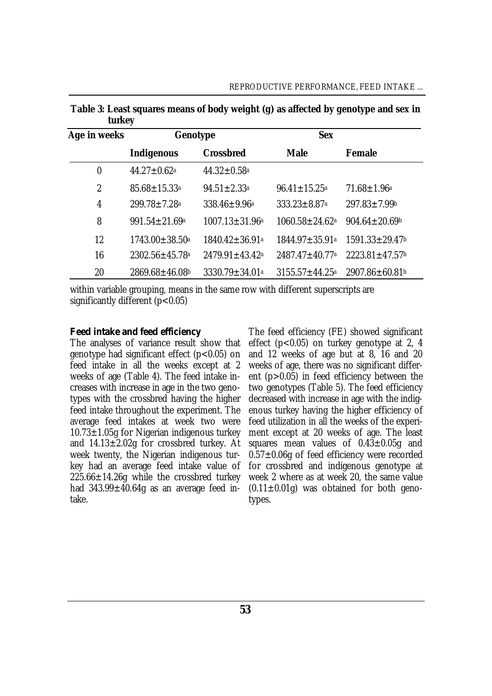| $\cdots$       |                                 |                                  |                                  |                                  |  |  |
|----------------|---------------------------------|----------------------------------|----------------------------------|----------------------------------|--|--|
| Age in weeks   | Genotype                        |                                  | <b>Sex</b>                       |                                  |  |  |
|                | <b>Indigenous</b>               | <b>Crossbred</b>                 | <b>Male</b>                      | Female                           |  |  |
| 0              | $44.27 \pm 0.62$ <sup>a</sup>   | $44.32 \pm 0.58$ <sup>a</sup>    |                                  |                                  |  |  |
| $\overline{2}$ | $85.68 \pm 15.33$ <sup>a</sup>  | $94.51 \pm 2.33$ <sup>a</sup>    | $96.41 \pm 15.25$ <sup>a</sup>   | $71.68 \pm 1.96$ <sup>a</sup>    |  |  |
| 4              | $299.78 \pm 7.28$ <sup>a</sup>  | $338.46 \pm 9.96^{\circ}$        | $333.23 \pm 8.87$ <sup>a</sup>   | $297.83 \pm 7.99$ <sup>b</sup>   |  |  |
| 8              | $991.54 \pm 21.69$ <sup>a</sup> | $1007.13 \pm 31.96$ a            | $1060.58 \pm 24.62$ <sup>a</sup> | $904.64 \pm 20.69$               |  |  |
| 12             | $1743.00 \pm 38.50$ a           | $1840.42 \pm 36.91$ <sup>a</sup> | $1844.97 \pm 35.91$ a            | $1591.33 \pm 29.47$ <sup>b</sup> |  |  |
| 16             | 2302.56±45.78a                  | $2479.91 \pm 43.42$ <sup>a</sup> | $2487.47 \pm 40.77$ a            | $2223.81 \pm 47.57$              |  |  |
| 20             | $2869.68 \pm 46.08$             | 3330.79±34.01 <sup>a</sup>       | $3155.57 \pm 44.25^{\circ}$      | 2907.86±60.81b                   |  |  |

**Table 3: Least squares means of body weight (g) as affected by genotype and sex in turkey**

within variable grouping, means in the same row with different superscripts are significantly different  $(p<0.05)$ 

#### *Feed intake and feed efficiency*

The analyses of variance result show that genotype had significant effect (p<0.05) on feed intake in all the weeks except at 2 weeks of age (Table 4). The feed intake increases with increase in age in the two genotypes with the crossbred having the higher feed intake throughout the experiment. The average feed intakes at week two were 10.73±1.05g for Nigerian indigenous turkey and  $14.13 \pm 2.02$ g for crossbred turkey. At week twenty, the Nigerian indigenous turkey had an average feed intake value of  $225.66 \pm 14.26g$  while the crossbred turkey had  $343.99 \pm 40.64g$  as an average feed intake.

The feed efficiency (FE) showed significant effect (p<0.05) on turkey genotype at 2, 4 and 12 weeks of age but at 8, 16 and 20 weeks of age, there was no significant different (p>0.05) in feed efficiency between the two genotypes (Table 5). The feed efficiency decreased with increase in age with the indigenous turkey having the higher efficiency of feed utilization in all the weeks of the experiment except at 20 weeks of age. The least squares mean values of 0.43±0.05g and  $0.57\pm0.06$ g of feed efficiency were recorded for crossbred and indigenous genotype at week 2 where as at week 20, the same value  $(0.11 \pm 0.01q)$  was obtained for both genotypes.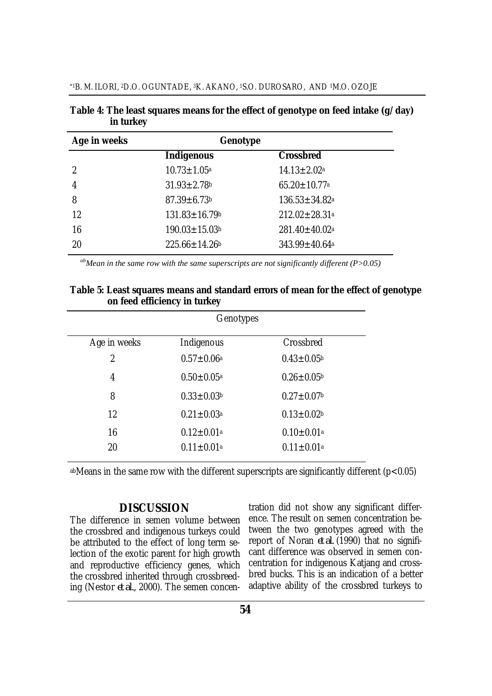| Age in weeks  | Genotype                        |                                 |
|---------------|---------------------------------|---------------------------------|
|               | <b>Indigenous</b>               | <b>Crossbred</b>                |
| $\mathcal{P}$ | $10.73 \pm 1.05^{\circ}$        | $14.13 \pm 2.02$ <sup>a</sup>   |
| 4             | $31.93 \pm 2.78$ b              | $65.20 \pm 10.77$ <sup>a</sup>  |
| 8             | $87.39 \pm 6.73$                | $136.53 \pm 34.82$ <sup>a</sup> |
| 12            | $131.83 \pm 16.79$ <sup>b</sup> | $212.02 \pm 28.31$ a            |
| 16            | $190.03 \pm 15.03$ <sup>b</sup> | $281.40 \pm 40.02$ <sup>a</sup> |
| 20            | $225.66 \pm 14.26$              | $343.99 \pm 40.64$ <sup>a</sup> |
|               |                                 |                                 |

**Table 4: The least squares means for the effect of genotype on feed intake (g/day) in turkey**

*abMean in the same row with the same superscripts are not significantly different (P>0.05)* 

#### **Table 5: Least squares means and standard errors of mean for the effect of genotype on feed efficiency in turkey**

|                | Genotypes                    |                              |  |  |  |
|----------------|------------------------------|------------------------------|--|--|--|
| Age in weeks   | Indigenous                   | Crossbred                    |  |  |  |
| $\overline{2}$ | $0.57 \pm 0.06^a$            | $0.43 \pm 0.05^{\rm b}$      |  |  |  |
| 4              | $0.50 \pm 0.05^{\circ}$      | $0.26 \pm 0.05$              |  |  |  |
| 8              | $0.33 \pm 0.03$ <sup>b</sup> | $0.27 \pm 0.07$ <sup>b</sup> |  |  |  |
| 12             | $0.21 \pm 0.03$ <sup>a</sup> | $0.13 \pm 0.02$ b            |  |  |  |
| 16             | $0.12 \pm 0.01$ a            | $0.10 \pm 0.01$ <sup>a</sup> |  |  |  |
| 20             | $0.11 \pm 0.01^a$            | $0.11 \pm 0.01^a$            |  |  |  |

abMeans in the same row with the different superscripts are significantly different (p<0.05)

# **DISCUSSION**

The difference in semen volume between the crossbred and indigenous turkeys could be attributed to the effect of long term selection of the exotic parent for high growth and reproductive efficiency genes, which the crossbred inherited through crossbreeding (Nestor *et al.,* 2000). The semen concen-

tration did not show any significant difference. The result on semen concentration between the two genotypes agreed with the report of Noran *et al.* (1990) that no significant difference was observed in semen concentration for indigenous Katjang and crossbred bucks. This is an indication of a better adaptive ability of the crossbred turkeys to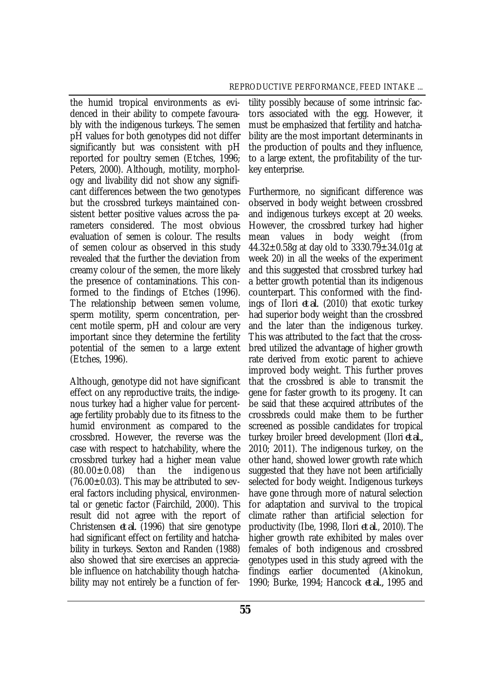the humid tropical environments as evidenced in their ability to compete favourably with the indigenous turkeys. The semen pH values for both genotypes did not differ significantly but was consistent with pH reported for poultry semen (Etches, 1996; Peters, 2000). Although, motility, morphology and livability did not show any significant differences between the two genotypes but the crossbred turkeys maintained consistent better positive values across the parameters considered. The most obvious evaluation of semen is colour. The results of semen colour as observed in this study revealed that the further the deviation from creamy colour of the semen, the more likely the presence of contaminations. This conformed to the findings of Etches (1996). The relationship between semen volume, sperm motility, sperm concentration, percent motile sperm, pH and colour are very important since they determine the fertility potential of the semen to a large extent (Etches, 1996).

Although, genotype did not have significant effect on any reproductive traits, the indigenous turkey had a higher value for percentage fertility probably due to its fitness to the humid environment as compared to the crossbred. However, the reverse was the case with respect to hatchability, where the crossbred turkey had a higher mean value  $(80.00\pm0.08)$  than the indigenous  $(76.00\pm0.03)$ . This may be attributed to several factors including physical, environmental or genetic factor (Fairchild, 2000). This result did not agree with the report of Christensen *et al.* (1996) that sire genotype had significant effect on fertility and hatchability in turkeys. Sexton and Randen (1988) also showed that sire exercises an appreciable influence on hatchability though hatchability may not entirely be a function of fer-

tility possibly because of some intrinsic factors associated with the egg. However, it must be emphasized that fertility and hatchability are the most important determinants in the production of poults and they influence, to a large extent, the profitability of the turkey enterprise.

Furthermore, no significant difference was observed in body weight between crossbred and indigenous turkeys except at 20 weeks. However, the crossbred turkey had higher mean values in body weight (from 44.32 $\pm$ 0.58g at day old to 3330.79 $\pm$ 34.01g at week 20) in all the weeks of the experiment and this suggested that crossbred turkey had a better growth potential than its indigenous counterpart. This conformed with the findings of Ilori *et al.* (2010) that exotic turkey had superior body weight than the crossbred and the later than the indigenous turkey. This was attributed to the fact that the crossbred utilized the advantage of higher growth rate derived from exotic parent to achieve improved body weight. This further proves that the crossbred is able to transmit the gene for faster growth to its progeny. It can be said that these acquired attributes of the crossbreds could make them to be further screened as possible candidates for tropical turkey broiler breed development (Ilori *et al.,* 2010; 2011). The indigenous turkey, on the other hand, showed lower growth rate which suggested that they have not been artificially selected for body weight. Indigenous turkeys have gone through more of natural selection for adaptation and survival to the tropical climate rather than artificial selection for productivity (Ibe, 1998, Ilori *et al*., 2010). The higher growth rate exhibited by males over females of both indigenous and crossbred genotypes used in this study agreed with the findings earlier documented (Akinokun, 1990; Burke, 1994; Hancock *et al.,* 1995 and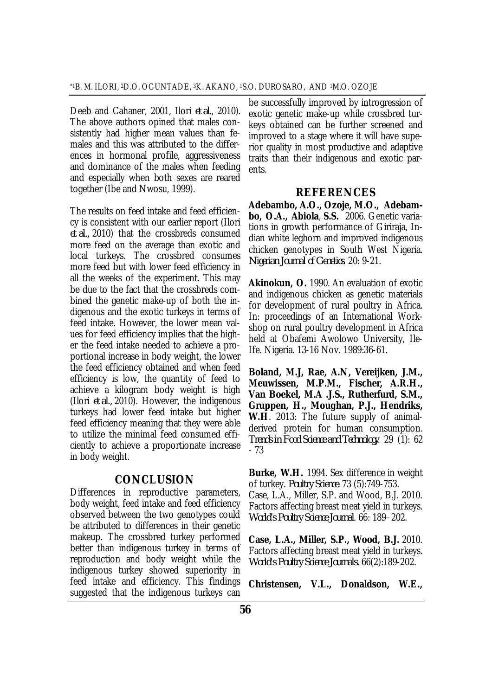Deeb and Cahaner, 2001, Ilori *et al*., 2010). The above authors opined that males consistently had higher mean values than females and this was attributed to the differences in hormonal profile, aggressiveness and dominance of the males when feeding and especially when both sexes are reared together (Ibe and Nwosu, 1999).

The results on feed intake and feed efficiency is consistent with our earlier report (Ilori *et al.,* 2010) that the crossbreds consumed more feed on the average than exotic and local turkeys. The crossbred consumes more feed but with lower feed efficiency in all the weeks of the experiment. This may be due to the fact that the crossbreds combined the genetic make-up of both the indigenous and the exotic turkeys in terms of feed intake. However, the lower mean values for feed efficiency implies that the higher the feed intake needed to achieve a proportional increase in body weight, the lower the feed efficiency obtained and when feed efficiency is low, the quantity of feed to achieve a kilogram body weight is high (Ilori *et al.,* 2010). However, the indigenous turkeys had lower feed intake but higher feed efficiency meaning that they were able to utilize the minimal feed consumed efficiently to achieve a proportionate increase in body weight.

#### **CONCLUSION**

Differences in reproductive parameters, body weight, feed intake and feed efficiency observed between the two genotypes could be attributed to differences in their genetic makeup. The crossbred turkey performed better than indigenous turkey in terms of reproduction and body weight while the indigenous turkey showed superiority in feed intake and efficiency. This findings suggested that the indigenous turkeys can

be successfully improved by introgression of exotic genetic make-up while crossbred turkeys obtained can be further screened and improved to a stage where it will have superior quality in most productive and adaptive traits than their indigenous and exotic parents.

### **REFERENCES**

**Adebambo, A.O., Ozoje, M.O., Adebambo, O.A., Abiola**, **S.S.** 2006. Genetic variations in growth performance of Giriraja, Indian white leghorn and improved indigenous chicken genotypes in South West Nigeria. *Nigerian Journal of Genetics*. 20: 9-21.

**Akinokun, O.** 1990. An evaluation of exotic and indigenous chicken as genetic materials for development of rural poultry in Africa. In: proceedings of an International Workshop on rural poultry development in Africa held at Obafemi Awolowo University, Ile-Ife. Nigeria. 13-16 Nov. 1989:36-61.

**Boland, M.J, Rae, A.N, Vereijken, J.M., Meuwissen, M.P.M., Fischer, A.R.H., Van Boekel, M.A .J.S., Rutherfurd, S.M., Gruppen, H., Moughan, P.J., Hendriks, W.H**. 2013: The future supply of animalderived protein for human consumption. *Trends in Food Science and Technology*. 29 (1): 62 - 73

**Burke, W.H.** 1994. Sex difference in weight of turkey. *Poultry Science.* 73 (5):749-753. Case, L.A., Miller, S.P. and Wood, B.J. 2010. Factors affecting breast meat yield in turkeys. *World's Poultry Science Journal*. 66: 189–202.

**Case, L.A., Miller, S.P., Wood, B.J.** 2010. Factors affecting breast meat yield in turkeys. *World's Poultry Science Journals.* 66(2):189-202.

**Christensen, V.L., Donaldson, W.E.,**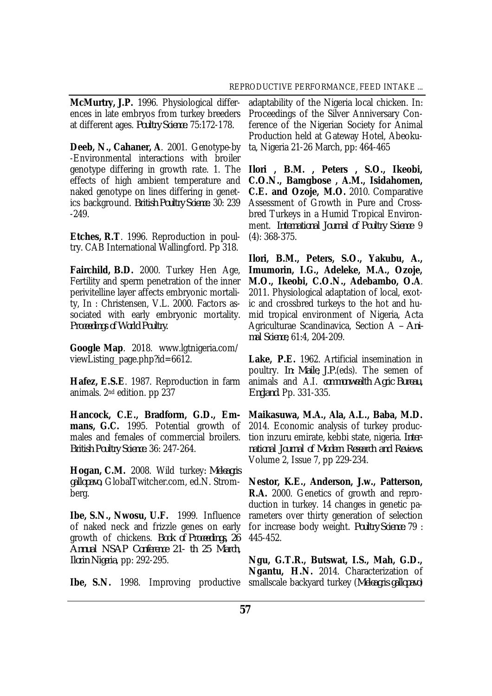**McMurtry, J.P.** 1996. Physiological differences in late embryos from turkey breeders at different ages. *Poultry Science.* 75:172-178.

**Deeb, N., Cahaner, A**. 2001. Genotype-by -Environmental interactions with broiler genotype differing in growth rate. 1. The effects of high ambient temperature and naked genotype on lines differing in genetics background. *British Poultry Science.* 30: 239 -249.

**Etches, R.T**. 1996. Reproduction in poultry. CAB International Wallingford. Pp 318.

**Fairchild, B.D.** 2000. Turkey Hen Age, Fertility and sperm penetration of the inner perivitelline layer affects embryonic mortality, In : Christensen, V.L. 2000. Factors associated with early embryonic mortality. *Proceedings of World Poultry.*

**Google Map**. 2018. [www.lgtnigeria.com/](http://www.lgtnigeria.com/) viewListing\_page.php?id=6612.

**Hafez, E.S.E**. 1987. Reproduction in farm animals. 2nd edition. pp 237

**Hancock, C.E., Bradform, G.D., Emmans, G.C.** 1995. Potential growth of males and females of commercial broilers. *British Poultry Science.* 36: 247-264.

**Hogan, C.M.** 2008. Wild turkey*: Meleagris gallopavo,* GlobalTwitcher.com, ed.N. Stromberg.

**Ibe, S.N., Nwosu, U.F.** 1999. Influence of naked neck and frizzle genes on early growth of chickens. *Book of Proceedings, 26 Annual NSAP Conference 21- th 25 March, Ilorin Nigeria*, pp: 292-295.

**Ibe, S.N.** 1998. Improving productive

adaptability of the Nigeria local chicken. In: Proceedings of the Silver Anniversary Conference of the Nigerian Society for Animal Production held at Gateway Hotel, Abeokuta, Nigeria 21-26 March, pp: 464-465

**Ilori , B.M. , Peters , S.O., Ikeobi, C.O.N., Bamgbose , A.M., Isidahomen, C.E. and Ozoje, M.O.** 2010. Comparative Assessment of Growth in Pure and Crossbred Turkeys in a Humid Tropical Environment. *International Journal of Poultry Science* 9 (4): 368-375.

**Ilori, B.M., Peters, S.O., Yakubu, A., Imumorin, I.G., Adeleke, M.A., Ozoje, M.O., Ikeobi, C.O.N., Adebambo, O.A**. 2011. Physiological adaptation of local, exotic and crossbred turkeys to the hot and humid tropical environment of Nigeria, Acta Agriculturae Scandinavica, Section A *– Animal Science,* 61:4, 204-209.

**Lake, P.E.** 1962. Artificial insemination in poultry. *In: Maile, J.P.*(eds). The semen of animals and A.I. *commonwealth Agric Bureau, England.* Pp. 331-335.

**Maikasuwa, M.A., Ala, A.L., Baba, M.D.** 2014. Economic analysis of turkey production inzuru emirate, kebbi state, nigeria. *International Journal of Modern Research and Reviews.*  Volume 2, Issue 7, pp 229-234.

**Nestor, K.E., Anderson, J.w., Patterson, R.A.** 2000. Genetics of growth and reproduction in turkey. 14 changes in genetic parameters over thirty generation of selection for increase body weight. *Poultry Science.* 79 : 445-452.

**Ngu, G.T.R., Butswat, I.S., Mah, G.D., Ngantu, H.N.** 2014. Characterization of smallscale backyard turkey (*Meleagris gallopavo*)